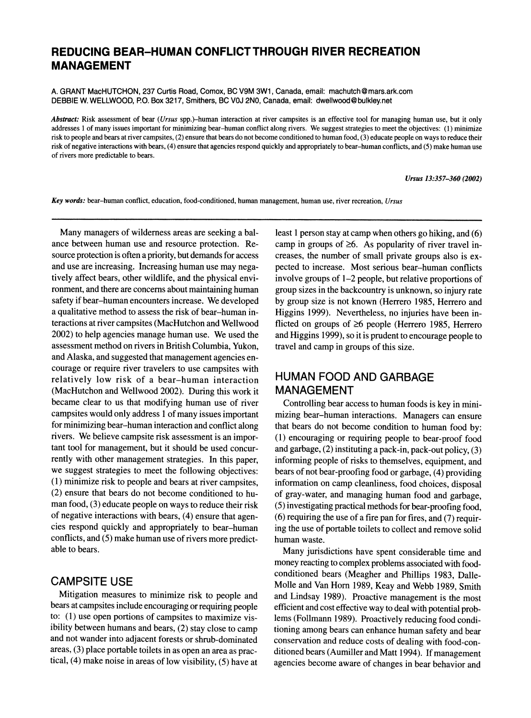# **REDUCING BEAR-HUMAN CONFLICT THROUGH RIVER RECREATION MANAGEMENT**

**A. GRANT MacHUTCHON, 237 Curtis Road, Comox, BC V9M 3W1, Canada, email: machutch@mars.ark.com DEBBIE W. WELLWOOD, P.O. Box 3217, Smithers, BC VOJ 2NO, Canada, email: dwellwood@bulkley.net** 

**Abstract: Risk assessment of bear (Ursus spp.)-human interaction at river campsites is an effective tool for managing human use, but it only addresses 1 of many issues important for minimizing bear-human conflict along rivers. We suggest strategies to meet the objectives: (1) minimize risk to people and bears at river campsites, (2) ensure that bears do not become conditioned to human food, (3) educate people on ways to reduce their risk of negative interactions with bears, (4) ensure that agencies respond quickly and appropriately to bear-human conflicts, and (5) make human use of rivers more predictable to bears.** 

**Ursus 13:357-360 (2002)** 

**Key words: bear-human conflict, education, food-conditioned, human management, human use, river recreation, Ursus** 

**Many managers of wilderness areas are seeking a balance between human use and resource protection. Resource protection is often a priority, but demands for access and use are increasing. Increasing human use may negatively affect bears, other wildlife, and the physical environment, and there are concerns about maintaining human safety if bear-human encounters increase. We developed a qualitative method to assess the risk of bear-human interactions at river campsites (MacHutchon and Wellwood 2002) to help agencies manage human use. We used the assessment method on rivers in British Columbia, Yukon, and Alaska, and suggested that management agencies encourage or require river travelers to use campsites with relatively low risk of a bear-human interaction (MacHutchon and Wellwood 2002). During this work it became clear to us that modifying human use of river campsites would only address 1 of many issues important for minimizing bear-human interaction and conflict along rivers. We believe campsite risk assessment is an important tool for management, but it should be used concurrently with other management strategies. In this paper, we suggest strategies to meet the following objectives: (1) minimize risk to people and bears at river campsites, (2) ensure that bears do not become conditioned to human food, (3) educate people on ways to reduce their risk of negative interactions with bears, (4) ensure that agencies respond quickly and appropriately to bear-human conflicts, and (5) make human use of rivers more predictable to bears.** 

#### **CAMPSITE USE**

**Mitigation measures to minimize risk to people and bears at campsites include encouraging or requiring people to: (1) use open portions of campsites to maximize visibility between humans and bears, (2) stay close to camp and not wander into adjacent forests or shrub-dominated areas, (3) place portable toilets in as open an area as practical, (4) make noise in areas of low visibility, (5) have at** 

**least 1 person stay at camp when others go hiking, and (6) camp in groups of >6. As popularity of river travel increases, the number of small private groups also is expected to increase. Most serious bear-human conflicts involve groups of 1-2 people, but relative proportions of group sizes in the backcountry is unknown, so injury rate by group size is not known (Herrero 1985, Herrero and Higgins 1999). Nevertheless, no injuries have been inflicted on groups of >6 people (Herrero 1985, Herrero and Higgins 1999), so it is prudent to encourage people to travel and camp in groups of this size.** 

## **HUMAN FOOD AND GARBAGE MANAGEMENT**

**Controlling bear access to human foods is key in minimizing bear-human interactions. Managers can ensure that bears do not become condition to human food by: (1) encouraging or requiring people to bear-proof food and garbage, (2) instituting a pack-in, pack-out policy, (3) informing people of risks to themselves, equipment, and bears of not bear-proofing food or garbage, (4) providing information on camp cleanliness, food choices, disposal of gray-water, and managing human food and garbage, (5) investigating practical methods for bear-proofing food, (6) requiring the use of a fire pan for fires, and (7) requiring the use of portable toilets to collect and remove solid human waste.** 

**Many jurisdictions have spent considerable time and money reacting to complex problems associated with foodconditioned bears (Meagher and Phillips 1983, Dalle-Molle and Van Horn 1989, Keay and Webb 1989, Smith and Lindsay 1989). Proactive management is the most efficient and cost effective way to deal with potential problems (Follmann 1989). Proactively reducing food conditioning among bears can enhance human safety and bear conservation and reduce costs of dealing with food-conditioned bears (Aumiller and Matt 1994). If management agencies become aware of changes in bear behavior and**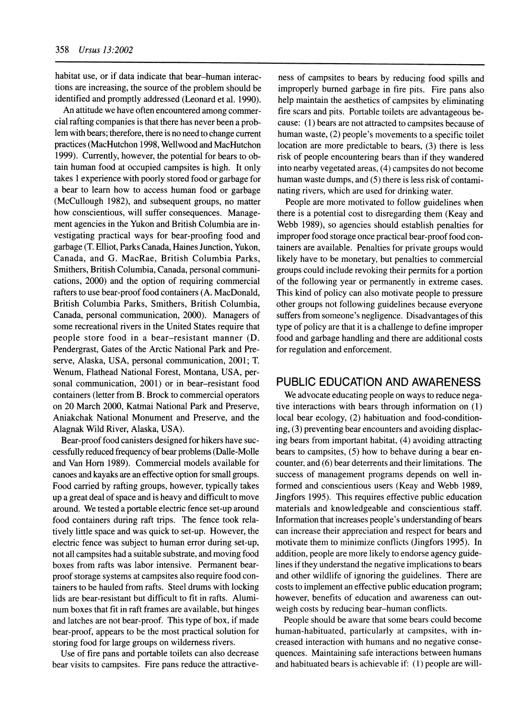**habitat use, or if data indicate that bear-human interactions are increasing, the source of the problem should be identified and promptly addressed (Leonard et al. 1990).** 

**An attitude we have often encountered among commercial rafting companies is that there has never been a problem with bears; therefore, there is no need to change current practices (MacHutchon 1998, Wellwood and MacHutchon 1999). Currently, however, the potential for bears to obtain human food at occupied campsites is high. It only takes 1 experience with poorly stored food or garbage for a bear to learn how to access human food or garbage (McCullough 1982), and subsequent groups, no matter how conscientious, will suffer consequences. Management agencies in the Yukon and British Columbia are investigating practical ways for bear-proofing food and garbage (T. Elliot, Parks Canada, Haines Junction, Yukon, Canada, and G. MacRae, British Columbia Parks, Smithers, British Columbia, Canada, personal communications, 2000) and the option of requiring commercial rafters to use bear-proof food containers (A. MacDonald, British Columbia Parks, Smithers, British Columbia, Canada, personal communication, 2000). Managers of some recreational rivers in the United States require that people store food in a bear-resistant manner (D. Pendergrast, Gates of the Arctic National Park and Preserve, Alaska, USA, personal communication, 2001; T. Wenum, Flathead National Forest, Montana, USA, personal communication, 2001) or in bear-resistant food containers (letter from B. Brock to commercial operators on 20 March 2000, Katmai National Park and Preserve, Aniakchak National Monument and Preserve, and the Alagnak Wild River, Alaska, USA).** 

**Bear-proof food canisters designed for hikers have successfully reduced frequency of bear problems (Dalle-Molle and Van Horn 1989). Commercial models available for canoes and kayaks are an effective option for small groups. Food carried by rafting groups, however, typically takes up a great deal of space and is heavy and difficult to move around. We tested a portable electric fence set-up around food containers during raft trips. The fence took relatively little space and was quick to set-up. However, the electric fence was subject to human error during set-up, not all campsites had a suitable substrate, and moving food boxes from rafts was labor intensive. Permanent bearproof storage systems at campsites also require food containers to be hauled from rafts. Steel drums with locking lids are bear-resistant but difficult to fit in rafts. Aluminum boxes that fit in raft frames are available, but hinges and latches are not bear-proof. This type of box, if made bear-proof, appears to be the most practical solution for storing food for large groups on wilderness rivers.** 

**Use of fire pans and portable toilets can also decrease bear visits to campsites. Fire pans reduce the attractive-**

**ness of campsites to bears by reducing food spills and improperly burned garbage in fire pits. Fire pans also help maintain the aesthetics of campsites by eliminating fire scars and pits. Portable toilets are advantageous because: (1) bears are not attracted to campsites because of human waste, (2) people's movements to a specific toilet location are more predictable to bears, (3) there is less risk of people encountering bears than if they wandered into nearby vegetated areas, (4) campsites do not become human waste dumps, and (5) there is less risk of contaminating rivers, which are used for drinking water.** 

**People are more motivated to follow guidelines when there is a potential cost to disregarding them (Keay and Webb 1989), so agencies should establish penalties for improper food storage once practical bear-proof food containers are available. Penalties for private groups would likely have to be monetary, but penalties to commercial groups could include revoking their permits for a portion of the following year or permanently in extreme cases. This kind of policy can also motivate people to pressure other groups not following guidelines because everyone suffers from someone's negligence. Disadvantages of this type of policy are that it is a challenge to define improper food and garbage handling and there are additional costs for regulation and enforcement.** 

## **PUBLIC EDUCATION AND AWARENESS**

**We advocate educating people on ways to reduce negative interactions with bears through information on (1) local bear ecology, (2) habituation and food-conditioning, (3) preventing bear encounters and avoiding displacing bears from important habitat, (4) avoiding attracting bears to campsites, (5) how to behave during a bear encounter, and (6) bear deterrents and their limitations. The success of management programs depends on well informed and conscientious users (Keay and Webb 1989, Jingfors 1995). This requires effective public education materials and knowledgeable and conscientious staff. Information that increases people's understanding of bears can increase their appreciation and respect for bears and motivate them to minimize conflicts (Jingfors 1995). In addition, people are more likely to endorse agency guidelines if they understand the negative implications to bears and other wildlife of ignoring the guidelines. There are costs to implement an effective public education program; however, benefits of education and awareness can outweigh costs by reducing bear-human conflicts.** 

**People should be aware that some bears could become human-habituated, particularly at campsites, with increased interaction with humans and no negative consequences. Maintaining safe interactions between humans and habituated bears is achievable if: (1) people are will-**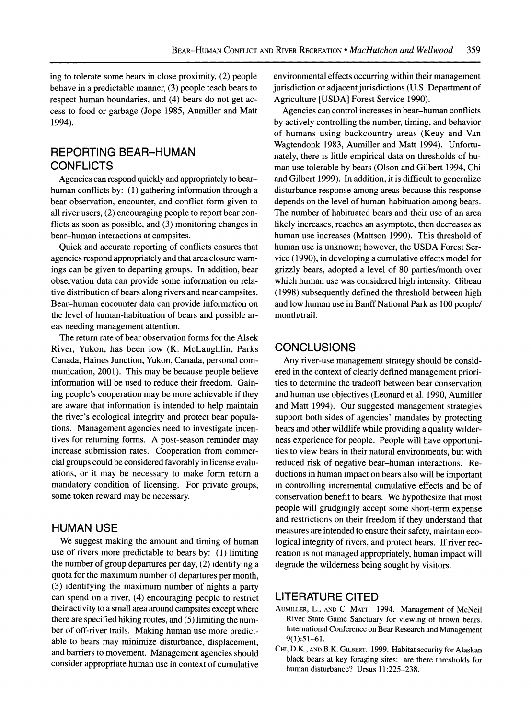**ing to tolerate some bears in close proximity, (2) people behave in a predictable manner, (3) people teach bears to respect human boundaries, and (4) bears do not get access to food or garbage (Jope 1985, Aumiller and Matt 1994).** 

#### **REPORTING BEAR-HUMAN CONFLICTS**

**Agencies can respond quickly and appropriately to bearhuman conflicts by: (1) gathering information through a bear observation, encounter, and conflict form given to all river users, (2) encouraging people to report bear conflicts as soon as possible, and (3) monitoring changes in bear-human interactions at campsites.** 

**Quick and accurate reporting of conflicts ensures that agencies respond appropriately and that area closure warnings can be given to departing groups. In addition, bear observation data can provide some information on relative distribution of bears along rivers and near campsites. Bear-human encounter data can provide information on the level of human-habituation of bears and possible areas needing management attention.** 

**The return rate of bear observation forms for the Alsek River, Yukon, has been low (K. McLaughlin, Parks Canada, Haines Junction, Yukon, Canada, personal communication, 2001). This may be because people believe information will be used to reduce their freedom. Gaining people's cooperation may be more achievable if they are aware that information is intended to help maintain the river's ecological integrity and protect bear populations. Management agencies need to investigate incentives for returning forms. A post-season reminder may increase submission rates. Cooperation from commercial groups could be considered favorably in license evaluations, or it may be necessary to make form return a mandatory condition of licensing. For private groups, some token reward may be necessary.** 

#### **HUMAN USE**

**We suggest making the amount and timing of human use of rivers more predictable to bears by: (1) limiting the number of group departures per day, (2) identifying a quota for the maximum number of departures per month, (3) identifying the maximum number of nights a party can spend on a river, (4) encouraging people to restrict their activity to a small area around campsites except where there are specified hiking routes, and (5) limiting the number of off-river trails. Making human use more predictable to bears may minimize disturbance, displacement, and barriers to movement. Management agencies should consider appropriate human use in context of cumulative**  **environmental effects occurring within their management jurisdiction or adjacent jurisdictions (U.S. Department of Agriculture [USDA] Forest Service 1990).** 

**Agencies can control increases in bear-human conflicts by actively controlling the number, timing, and behavior of humans using backcountry areas (Keay and Van Wagtendonk 1983, Aumiller and Matt 1994). Unfortunately, there is little empirical data on thresholds of human use tolerable by bears (Olson and Gilbert 1994, Chi and Gilbert 1999). In addition, it is difficult to generalize disturbance response among areas because this response depends on the level of human-habituation among bears. The number of habituated bears and their use of an area likely increases, reaches an asymptote, then decreases as human use increases (Mattson 1990). This threshold of human use is unknown; however, the USDA Forest Service (1990), in developing a cumulative effects model for grizzly bears, adopted a level of 80 parties/month over which human use was considered high intensity. Gibeau (1998) subsequently defined the threshold between high and low human use in Banff National Park as 100 people/ month/trail.** 

## **CONCLUSIONS**

**Any river-use management strategy should be considered in the context of clearly defined management priorities to determine the tradeoff between bear conservation and human use objectives (Leonard et al. 1990, Aumiller and Matt 1994). Our suggested management strategies support both sides of agencies' mandates by protecting bears and other wildlife while providing a quality wilderness experience for people. People will have opportunities to view bears in their natural environments, but with reduced risk of negative bear-human interactions. Reductions in human impact on bears also will be important in controlling incremental cumulative effects and be of conservation benefit to bears. We hypothesize that most people will grudgingly accept some short-term expense and restrictions on their freedom if they understand that measures are intended to ensure their safety, maintain ecological integrity of rivers, and protect bears. If river recreation is not managed appropriately, human impact will degrade the wilderness being sought by visitors.** 

#### **LITERATURE CITED**

- **AUMILLER, L., AND C. MATT. 1994. Management of McNeil River State Game Sanctuary for viewing of brown bears. International Conference on Bear Research and Management 9(1):51-61.**
- **CHI, D.K., AND B.K. GILBERT. 1999. Habitat security for Alaskan black bears at key foraging sites: are there thresholds for human disturbance? Ursus 11:225-238.**